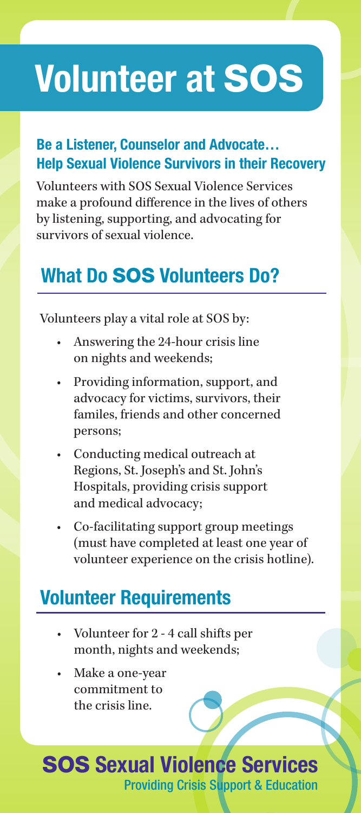# Volunteer at SOS

#### Be a Listener, Counselor and Advocate… Help Sexual Violence Survivors in their Recovery

Volunteers with SOS Sexual Violence Services make a profound difference in the lives of others by listening, supporting, and advocating for survivors of sexual violence.

## What Do SOS Volunteers Do?

Volunteers play a vital role at SOS by:

- Answering the 24-hour crisis line on nights and weekends;
- Providing information, support, and advocacy for victims, survivors, their familes, friends and other concerned persons;
- Conducting medical outreach at Regions, St. Joseph's and St. John's Hospitals, providing crisis support and medical advocacy;
- Co-facilitating support group meetings (must have completed at least one year of volunteer experience on the crisis hotline).

### Volunteer Requirements

- Volunteer for 2 4 call shifts per month, nights and weekends;
- Make a one-year commitment to the crisis line.

#### SOS Sexual Violence Services Providing Crisis Support & Education